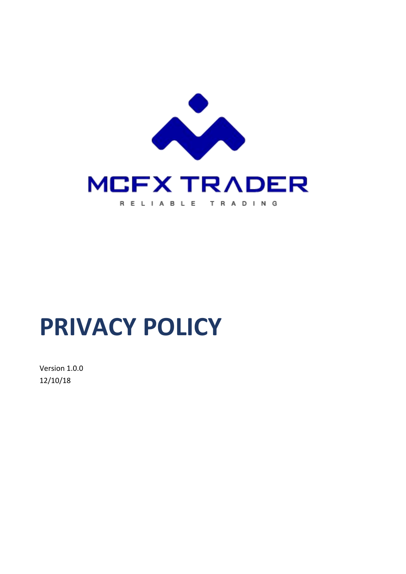

# **PRIVACY POLICY**

Version 1.0.0 12/10/18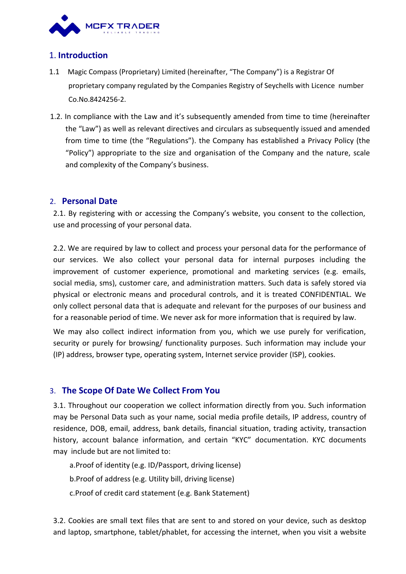

### 1. **Introduction**

- 1.1 Magic Compass (Proprietary) Limited (hereinafter, "The Company") is a Registrar Of proprietary company regulated by the Companies Registry of Seychells with Licence number Co.No.8424256-2.
- 1.2. In compliance with the Law and it's subsequently amended from time to time (hereinafter the "Law") as well as relevant directives and circulars as subsequently issued and amended from time to time (the "Regulations"). the Company has established a Privacy Policy (the "Policy") appropriate to the size and organisation of the Company and the nature, scale and complexity of the Company's business.

#### 2. **Personal Date**

2.1. By registering with or accessing the Company's website, you consent to the collection, use and processing of your personal data.

2.2. We are required by law to collect and process your personal data for the performance of our services. We also collect your personal data for internal purposes including the improvement of customer experience, promotional and marketing services (e.g. emails, social media, sms), customer care, and administration matters. Such data is safely stored via physical or electronic means and procedural controls, and it is treated CONFIDENTIAL. We only collect personal data that is adequate and relevant for the purposes of our business and for a reasonable period of time. We never ask for more information that is required by law.

We may also collect indirect information from you, which we use purely for verification, security or purely for browsing/ functionality purposes. Such information may include your (IP) address, browser type, operating system, Internet service provider (ISP), cookies.

### 3. **The Scope Of Date We Collect From You**

3.1. Throughout our cooperation we collect information directly from you. Such information may be Personal Data such as your name, social media profile details, IP address, country of residence, DOB, email, address, bank details, financial situation, trading activity, transaction history, account balance information, and certain "KYC" documentation. KYC documents may include but are not limited to:

a.Proof of identity (e.g. ID/Passport, driving license) b.Proof of address (e.g. Utility bill, driving license) c.Proof of credit card statement (e.g. Bank Statement)

3.2. Cookies are small text files that are sent to and stored on your device, such as desktop and laptop, smartphone, tablet/phablet, for accessing the internet, when you visit a website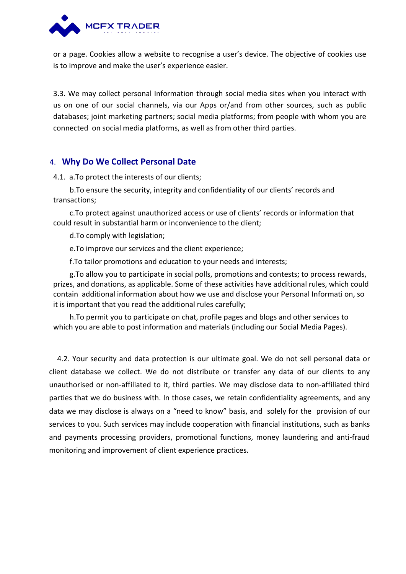

or a page. Cookies allow a website to recognise a user's device. The objective of cookies use is to improve and make the user's experience easier.

3.3. We may collect personal Information through social media sites when you interact with us on one of our social channels, via our Apps or/and from other sources, such as public databases; joint marketing partners; social media platforms; from people withwhom you are connected on social media platforms, as well as from other third parties.

### 4. **Why Do We CollectPersonal Date**

4.1. a.To protect the interests of our clients;

b.To ensure the security, integrity and confidentiality of our clients' records and transactions;

c.To protect against unauthorized access or use of clients' records or information that could result in substantial harm or inconvenience to the client;

d.To comply with legislation;

e.To improve our services and the client experience;

f.To tailor promotions and education to your needs and interests;

g.To allow you to participate in social polls, promotions and contests; to process rewards, prizes, and donations, as applicable. Some of these activities have additional rules, which could contain additional information about how we use and disclose your Personal Informati on, so it is important that you read the additional rules carefully;

h.To permit you to participate on chat, profile pages and blogs and other services to which you are able to post information and materials (including our Social Media Pages).

4.2. Your security and data protection is our ultimate goal. We do not sell personal data or client database we collect. We do not distribute or transfer any data of our clients to any unauthorised or non-affiliated to it, third parties. We may disclose data to non-affiliated third parties that we do business with. In those cases, we retain confidentiality agreements, and any data we may disclose is always on a "need to know" basis, and solely for the provision of our services to you. Such services may include cooperation with financial institutions, such as banks and payments processing providers, promotional functions, money laundering and anti-fraud monitoring and improvement of client experience practices.